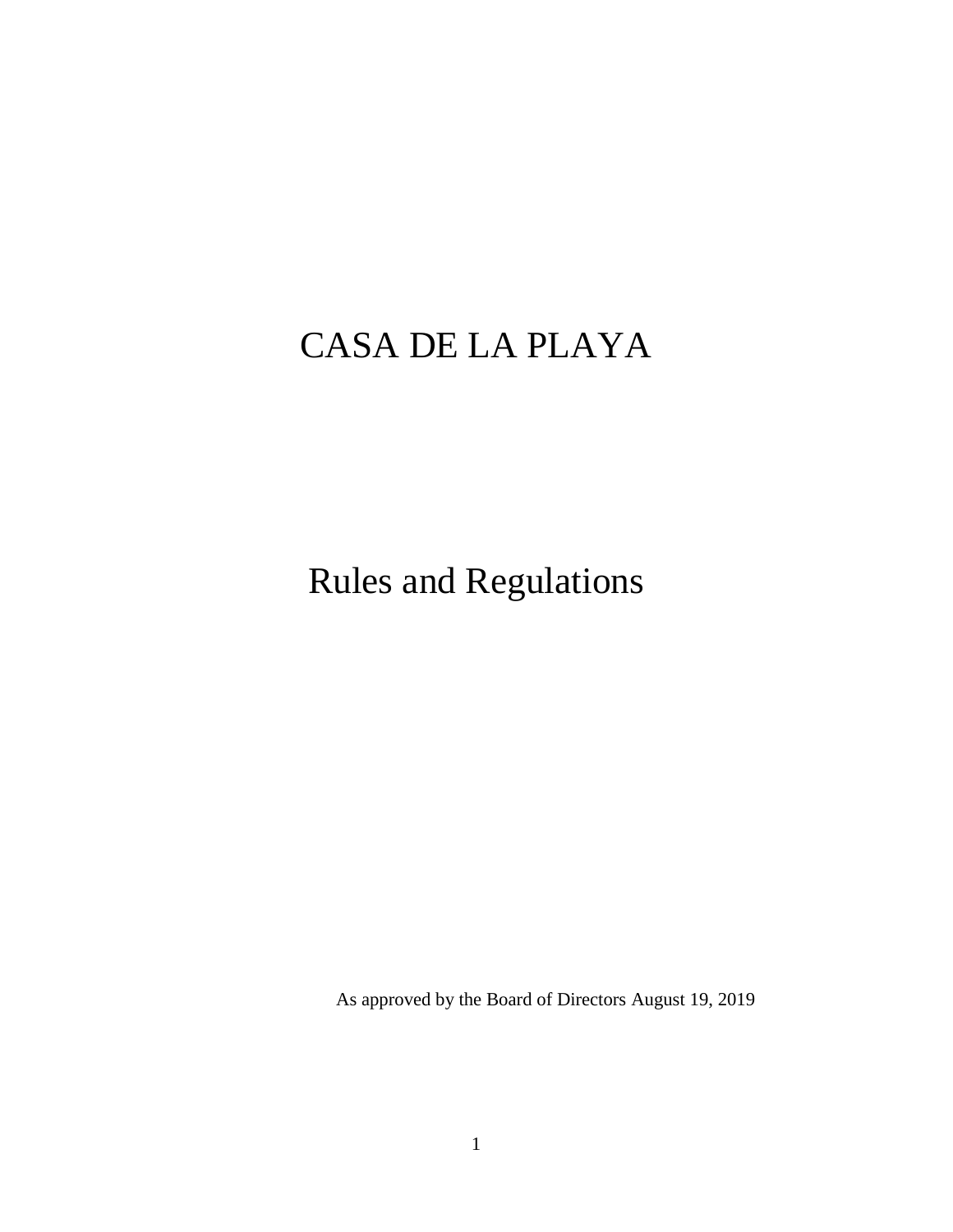# CASA DE LA PLAYA

Rules and Regulations

As approved by the Board of Directors August 19, 2019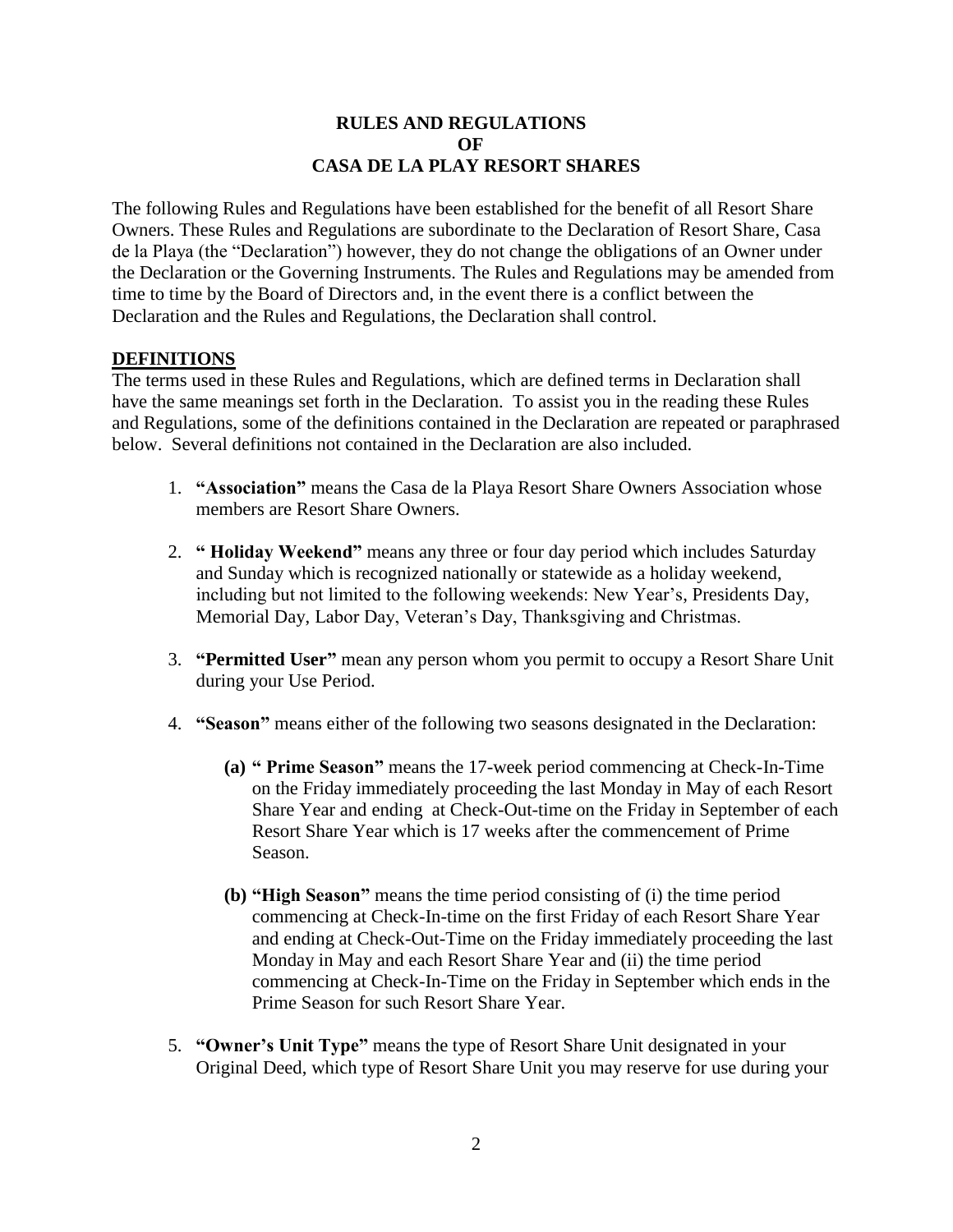#### **RULES AND REGULATIONS OF CASA DE LA PLAY RESORT SHARES**

The following Rules and Regulations have been established for the benefit of all Resort Share Owners. These Rules and Regulations are subordinate to the Declaration of Resort Share, Casa de la Playa (the "Declaration") however, they do not change the obligations of an Owner under the Declaration or the Governing Instruments. The Rules and Regulations may be amended from time to time by the Board of Directors and, in the event there is a conflict between the Declaration and the Rules and Regulations, the Declaration shall control.

#### **DEFINITIONS**

The terms used in these Rules and Regulations, which are defined terms in Declaration shall have the same meanings set forth in the Declaration. To assist you in the reading these Rules and Regulations, some of the definitions contained in the Declaration are repeated or paraphrased below. Several definitions not contained in the Declaration are also included.

- 1. **"Association"** means the Casa de la Playa Resort Share Owners Association whose members are Resort Share Owners.
- 2. **" Holiday Weekend"** means any three or four day period which includes Saturday and Sunday which is recognized nationally or statewide as a holiday weekend, including but not limited to the following weekends: New Year's, Presidents Day, Memorial Day, Labor Day, Veteran's Day, Thanksgiving and Christmas.
- 3. **"Permitted User"** mean any person whom you permit to occupy a Resort Share Unit during your Use Period.
- 4. **"Season"** means either of the following two seasons designated in the Declaration:
	- **(a) " Prime Season"** means the 17-week period commencing at Check-In-Time on the Friday immediately proceeding the last Monday in May of each Resort Share Year and ending at Check-Out-time on the Friday in September of each Resort Share Year which is 17 weeks after the commencement of Prime Season.
	- **(b) "High Season"** means the time period consisting of (i) the time period commencing at Check-In-time on the first Friday of each Resort Share Year and ending at Check-Out-Time on the Friday immediately proceeding the last Monday in May and each Resort Share Year and (ii) the time period commencing at Check-In-Time on the Friday in September which ends in the Prime Season for such Resort Share Year.
- 5. **"Owner's Unit Type"** means the type of Resort Share Unit designated in your Original Deed, which type of Resort Share Unit you may reserve for use during your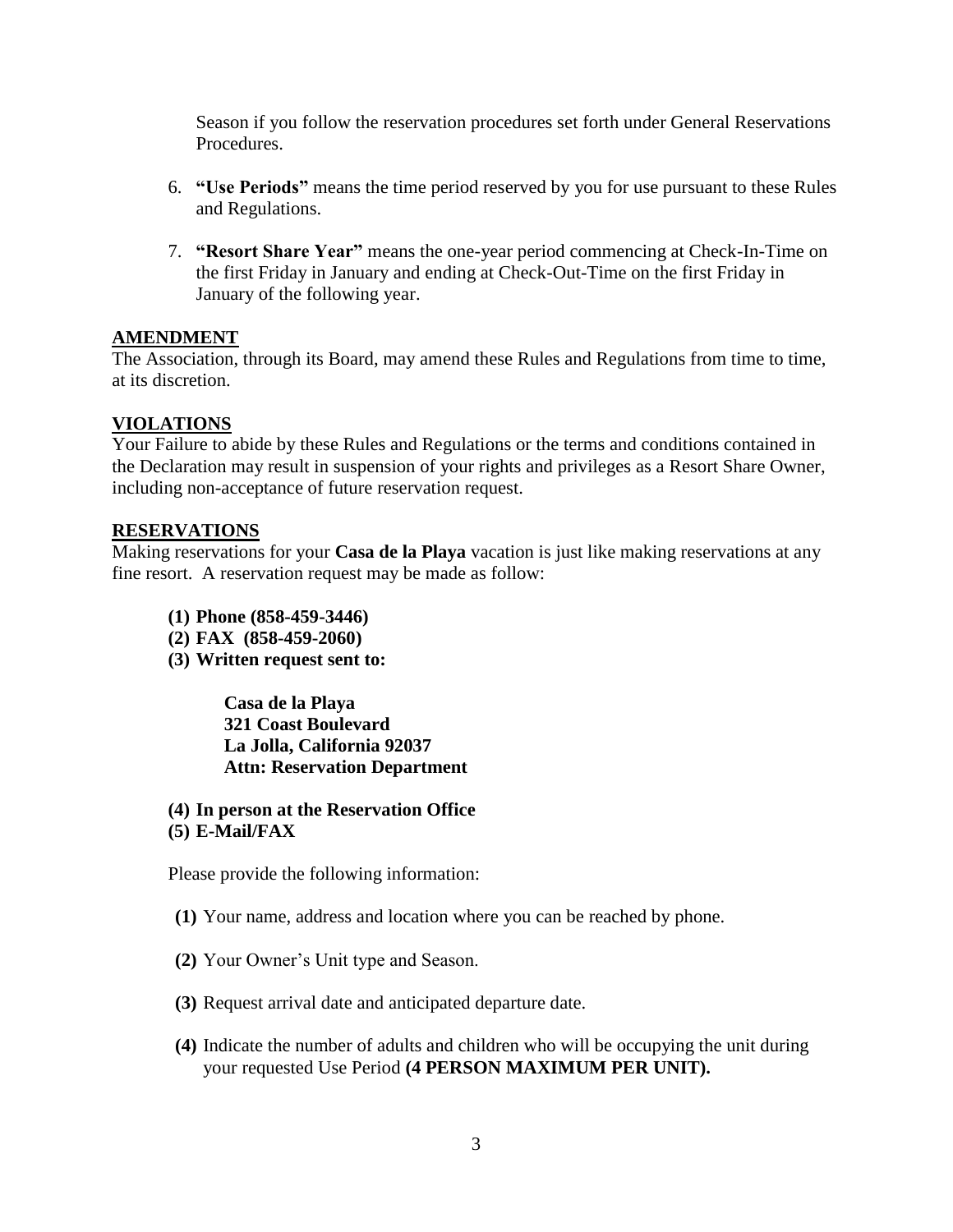Season if you follow the reservation procedures set forth under General Reservations Procedures.

- 6. **"Use Periods"** means the time period reserved by you for use pursuant to these Rules and Regulations.
- 7. **"Resort Share Year"** means the one-year period commencing at Check-In-Time on the first Friday in January and ending at Check-Out-Time on the first Friday in January of the following year.

## **AMENDMENT**

The Association, through its Board, may amend these Rules and Regulations from time to time, at its discretion.

## **VIOLATIONS**

Your Failure to abide by these Rules and Regulations or the terms and conditions contained in the Declaration may result in suspension of your rights and privileges as a Resort Share Owner, including non-acceptance of future reservation request.

#### **RESERVATIONS**

Making reservations for your **Casa de la Playa** vacation is just like making reservations at any fine resort. A reservation request may be made as follow:

- **(1) Phone (858-459-3446)**
- **(2) FAX (858-459-2060)**
- **(3) Written request sent to:**

**Casa de la Playa 321 Coast Boulevard La Jolla, California 92037 Attn: Reservation Department**

**(4) In person at the Reservation Office (5) E-Mail/FAX**

Please provide the following information:

- **(1)** Your name, address and location where you can be reached by phone.
- **(2)** Your Owner's Unit type and Season.
- **(3)** Request arrival date and anticipated departure date.
- **(4)** Indicate the number of adults and children who will be occupying the unit during your requested Use Period **(4 PERSON MAXIMUM PER UNIT).**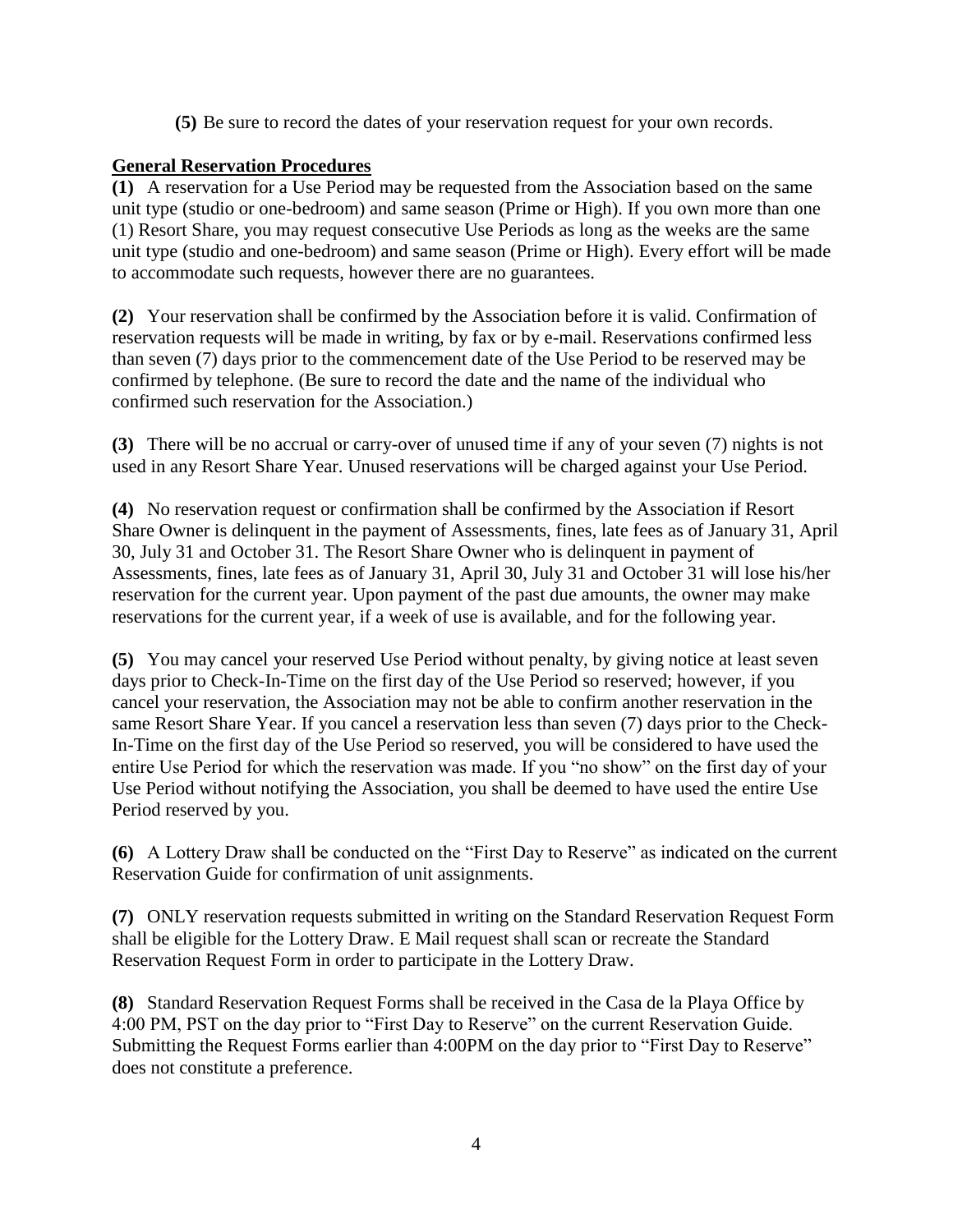**(5)** Be sure to record the dates of your reservation request for your own records.

# **General Reservation Procedures**

**(1)** A reservation for a Use Period may be requested from the Association based on the same unit type (studio or one-bedroom) and same season (Prime or High). If you own more than one (1) Resort Share, you may request consecutive Use Periods as long as the weeks are the same unit type (studio and one-bedroom) and same season (Prime or High). Every effort will be made to accommodate such requests, however there are no guarantees.

**(2)** Your reservation shall be confirmed by the Association before it is valid. Confirmation of reservation requests will be made in writing, by fax or by e-mail. Reservations confirmed less than seven (7) days prior to the commencement date of the Use Period to be reserved may be confirmed by telephone. (Be sure to record the date and the name of the individual who confirmed such reservation for the Association.)

**(3)** There will be no accrual or carry-over of unused time if any of your seven (7) nights is not used in any Resort Share Year. Unused reservations will be charged against your Use Period.

**(4)** No reservation request or confirmation shall be confirmed by the Association if Resort Share Owner is delinquent in the payment of Assessments, fines, late fees as of January 31, April 30, July 31 and October 31. The Resort Share Owner who is delinquent in payment of Assessments, fines, late fees as of January 31, April 30, July 31 and October 31 will lose his/her reservation for the current year. Upon payment of the past due amounts, the owner may make reservations for the current year, if a week of use is available, and for the following year.

**(5)** You may cancel your reserved Use Period without penalty, by giving notice at least seven days prior to Check-In-Time on the first day of the Use Period so reserved; however, if you cancel your reservation, the Association may not be able to confirm another reservation in the same Resort Share Year. If you cancel a reservation less than seven (7) days prior to the Check-In-Time on the first day of the Use Period so reserved, you will be considered to have used the entire Use Period for which the reservation was made. If you "no show" on the first day of your Use Period without notifying the Association, you shall be deemed to have used the entire Use Period reserved by you.

**(6)** A Lottery Draw shall be conducted on the "First Day to Reserve" as indicated on the current Reservation Guide for confirmation of unit assignments.

**(7)** ONLY reservation requests submitted in writing on the Standard Reservation Request Form shall be eligible for the Lottery Draw. E Mail request shall scan or recreate the Standard Reservation Request Form in order to participate in the Lottery Draw.

**(8)** Standard Reservation Request Forms shall be received in the Casa de la Playa Office by 4:00 PM, PST on the day prior to "First Day to Reserve" on the current Reservation Guide. Submitting the Request Forms earlier than 4:00PM on the day prior to "First Day to Reserve" does not constitute a preference.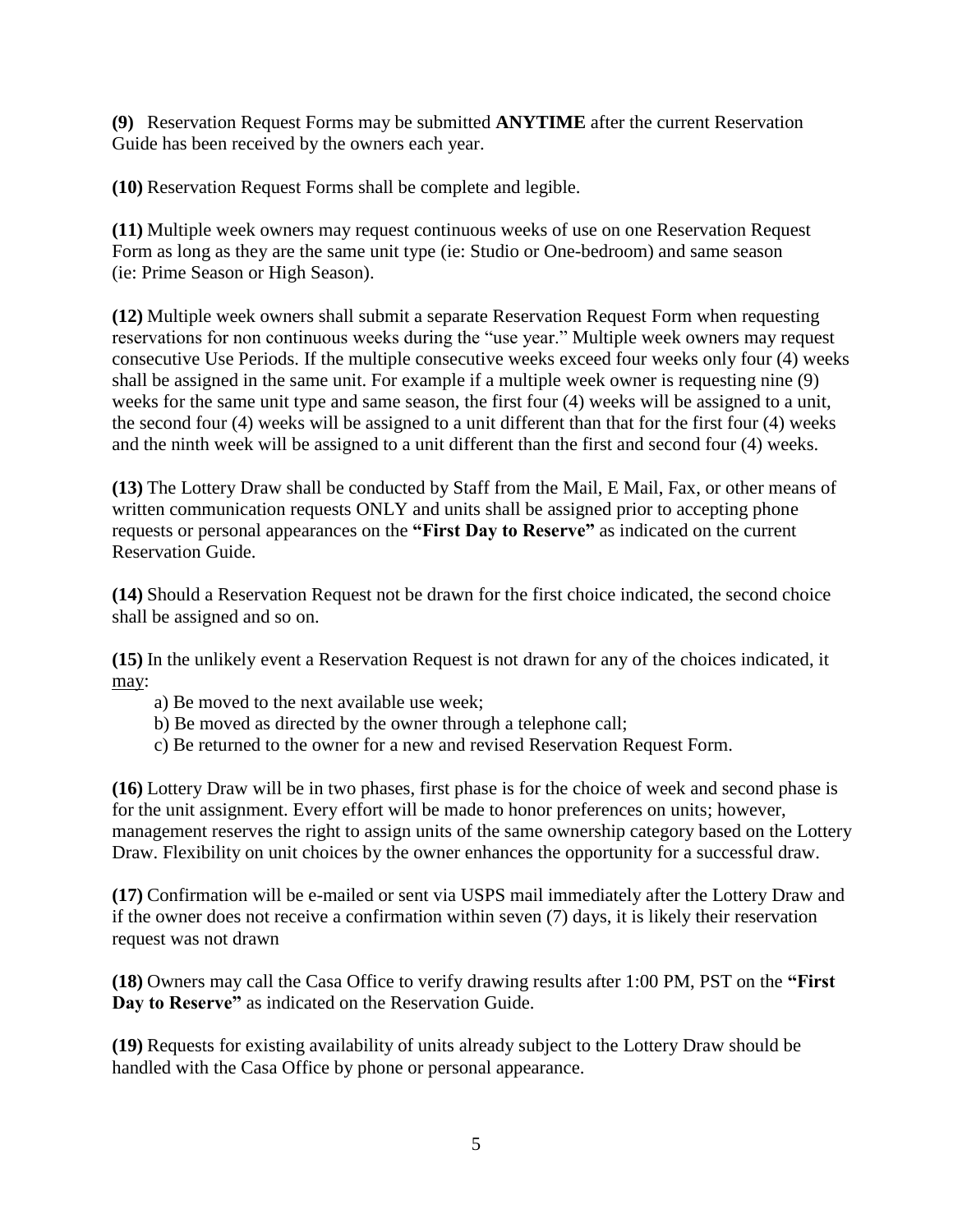**(9)** Reservation Request Forms may be submitted **ANYTIME** after the current Reservation Guide has been received by the owners each year.

**(10)** Reservation Request Forms shall be complete and legible.

**(11)** Multiple week owners may request continuous weeks of use on one Reservation Request Form as long as they are the same unit type (ie: Studio or One-bedroom) and same season (ie: Prime Season or High Season).

**(12)** Multiple week owners shall submit a separate Reservation Request Form when requesting reservations for non continuous weeks during the "use year." Multiple week owners may request consecutive Use Periods. If the multiple consecutive weeks exceed four weeks only four (4) weeks shall be assigned in the same unit. For example if a multiple week owner is requesting nine (9) weeks for the same unit type and same season, the first four (4) weeks will be assigned to a unit, the second four (4) weeks will be assigned to a unit different than that for the first four (4) weeks and the ninth week will be assigned to a unit different than the first and second four (4) weeks.

**(13)** The Lottery Draw shall be conducted by Staff from the Mail, E Mail, Fax, or other means of written communication requests ONLY and units shall be assigned prior to accepting phone requests or personal appearances on the **"First Day to Reserve"** as indicated on the current Reservation Guide.

**(14)** Should a Reservation Request not be drawn for the first choice indicated, the second choice shall be assigned and so on.

**(15)** In the unlikely event a Reservation Request is not drawn for any of the choices indicated, it may:

- a) Be moved to the next available use week;
- b) Be moved as directed by the owner through a telephone call;
- c) Be returned to the owner for a new and revised Reservation Request Form.

**(16)** Lottery Draw will be in two phases, first phase is for the choice of week and second phase is for the unit assignment. Every effort will be made to honor preferences on units; however, management reserves the right to assign units of the same ownership category based on the Lottery Draw. Flexibility on unit choices by the owner enhances the opportunity for a successful draw.

**(17)** Confirmation will be e-mailed or sent via USPS mail immediately after the Lottery Draw and if the owner does not receive a confirmation within seven (7) days, it is likely their reservation request was not drawn

**(18)** Owners may call the Casa Office to verify drawing results after 1:00 PM, PST on the **"First Day to Reserve"** as indicated on the Reservation Guide.

**(19)** Requests for existing availability of units already subject to the Lottery Draw should be handled with the Casa Office by phone or personal appearance.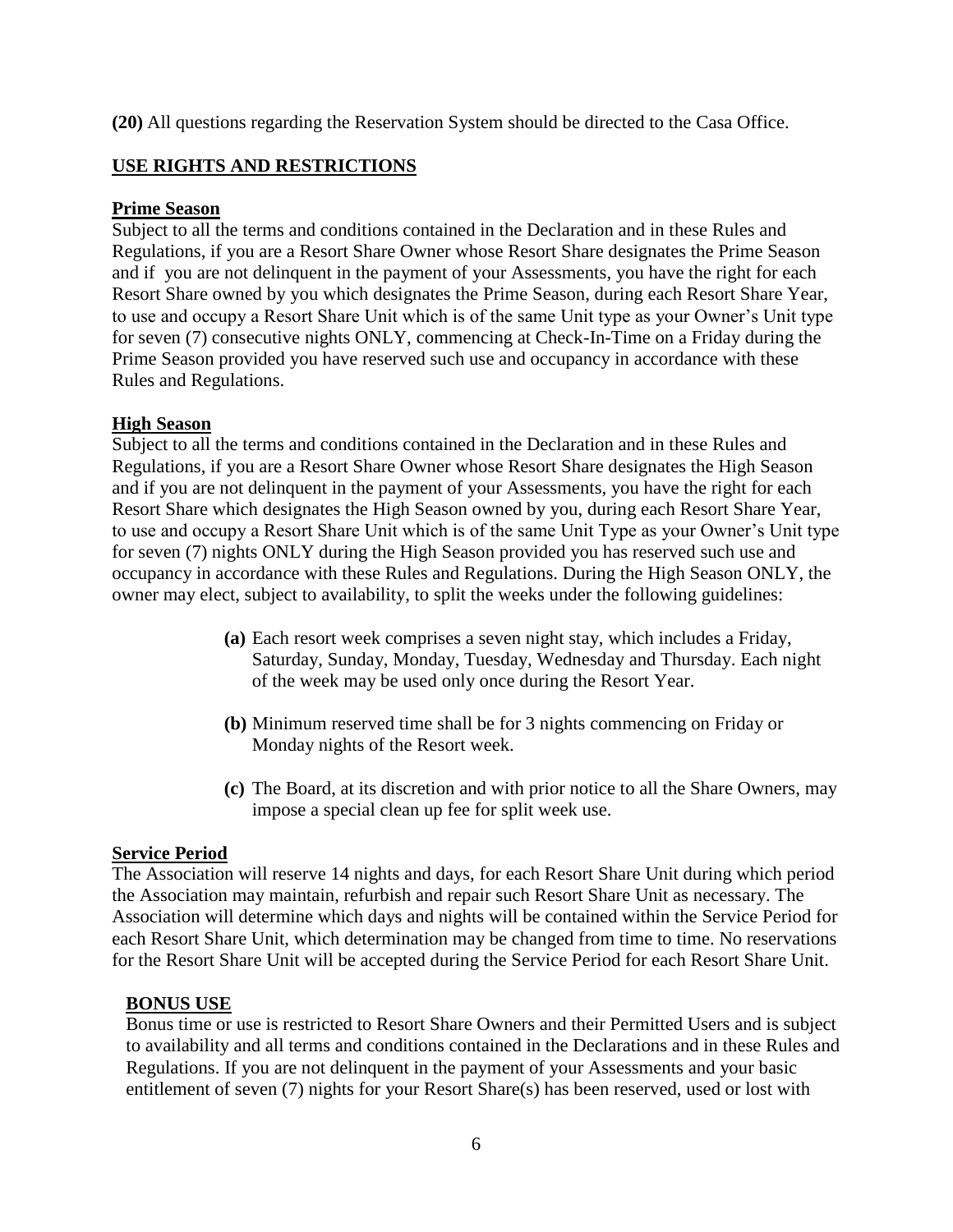**(20)** All questions regarding the Reservation System should be directed to the Casa Office.

# **USE RIGHTS AND RESTRICTIONS**

## **Prime Season**

Subject to all the terms and conditions contained in the Declaration and in these Rules and Regulations, if you are a Resort Share Owner whose Resort Share designates the Prime Season and if you are not delinquent in the payment of your Assessments, you have the right for each Resort Share owned by you which designates the Prime Season, during each Resort Share Year, to use and occupy a Resort Share Unit which is of the same Unit type as your Owner's Unit type for seven (7) consecutive nights ONLY, commencing at Check-In-Time on a Friday during the Prime Season provided you have reserved such use and occupancy in accordance with these Rules and Regulations.

## **High Season**

Subject to all the terms and conditions contained in the Declaration and in these Rules and Regulations, if you are a Resort Share Owner whose Resort Share designates the High Season and if you are not delinquent in the payment of your Assessments, you have the right for each Resort Share which designates the High Season owned by you, during each Resort Share Year, to use and occupy a Resort Share Unit which is of the same Unit Type as your Owner's Unit type for seven (7) nights ONLY during the High Season provided you has reserved such use and occupancy in accordance with these Rules and Regulations. During the High Season ONLY, the owner may elect, subject to availability, to split the weeks under the following guidelines:

- **(a)** Each resort week comprises a seven night stay, which includes a Friday, Saturday, Sunday, Monday, Tuesday, Wednesday and Thursday. Each night of the week may be used only once during the Resort Year.
- **(b)** Minimum reserved time shall be for 3 nights commencing on Friday or Monday nights of the Resort week.
- **(c)** The Board, at its discretion and with prior notice to all the Share Owners, may impose a special clean up fee for split week use.

# **Service Period**

The Association will reserve 14 nights and days, for each Resort Share Unit during which period the Association may maintain, refurbish and repair such Resort Share Unit as necessary. The Association will determine which days and nights will be contained within the Service Period for each Resort Share Unit, which determination may be changed from time to time. No reservations for the Resort Share Unit will be accepted during the Service Period for each Resort Share Unit.

# **BONUS USE**

Bonus time or use is restricted to Resort Share Owners and their Permitted Users and is subject to availability and all terms and conditions contained in the Declarations and in these Rules and Regulations. If you are not delinquent in the payment of your Assessments and your basic entitlement of seven (7) nights for your Resort Share(s) has been reserved, used or lost with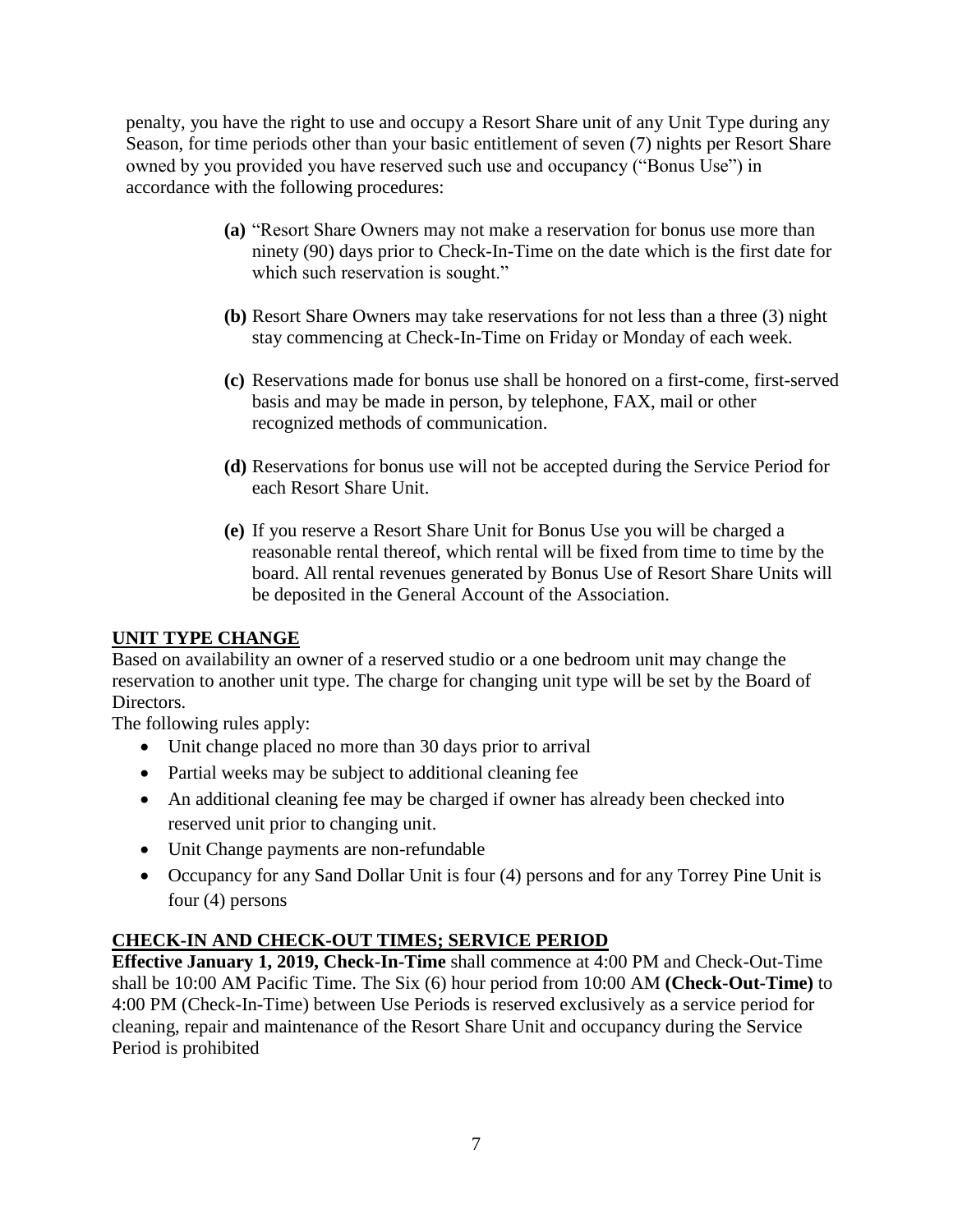penalty, you have the right to use and occupy a Resort Share unit of any Unit Type during any Season, for time periods other than your basic entitlement of seven (7) nights per Resort Share owned by you provided you have reserved such use and occupancy ("Bonus Use") in accordance with the following procedures:

- **(a)** "Resort Share Owners may not make a reservation for bonus use more than ninety (90) days prior to Check-In-Time on the date which is the first date for which such reservation is sought."
- **(b)** Resort Share Owners may take reservations for not less than a three (3) night stay commencing at Check-In-Time on Friday or Monday of each week.
- **(c)** Reservations made for bonus use shall be honored on a first-come, first-served basis and may be made in person, by telephone, FAX, mail or other recognized methods of communication.
- **(d)** Reservations for bonus use will not be accepted during the Service Period for each Resort Share Unit.
- **(e)** If you reserve a Resort Share Unit for Bonus Use you will be charged a reasonable rental thereof, which rental will be fixed from time to time by the board. All rental revenues generated by Bonus Use of Resort Share Units will be deposited in the General Account of the Association.

# **UNIT TYPE CHANGE**

Based on availability an owner of a reserved studio or a one bedroom unit may change the reservation to another unit type. The charge for changing unit type will be set by the Board of Directors.

The following rules apply:

- Unit change placed no more than 30 days prior to arrival
- Partial weeks may be subject to additional cleaning fee
- An additional cleaning fee may be charged if owner has already been checked into reserved unit prior to changing unit.
- Unit Change payments are non-refundable
- Occupancy for any Sand Dollar Unit is four (4) persons and for any Torrey Pine Unit is four (4) persons

# **CHECK-IN AND CHECK-OUT TIMES; SERVICE PERIOD**

**Effective January 1, 2019, Check-In-Time** shall commence at 4:00 PM and Check-Out-Time shall be 10:00 AM Pacific Time. The Six (6) hour period from 10:00 AM **(Check-Out-Time)** to 4:00 PM (Check-In-Time) between Use Periods is reserved exclusively as a service period for cleaning, repair and maintenance of the Resort Share Unit and occupancy during the Service Period is prohibited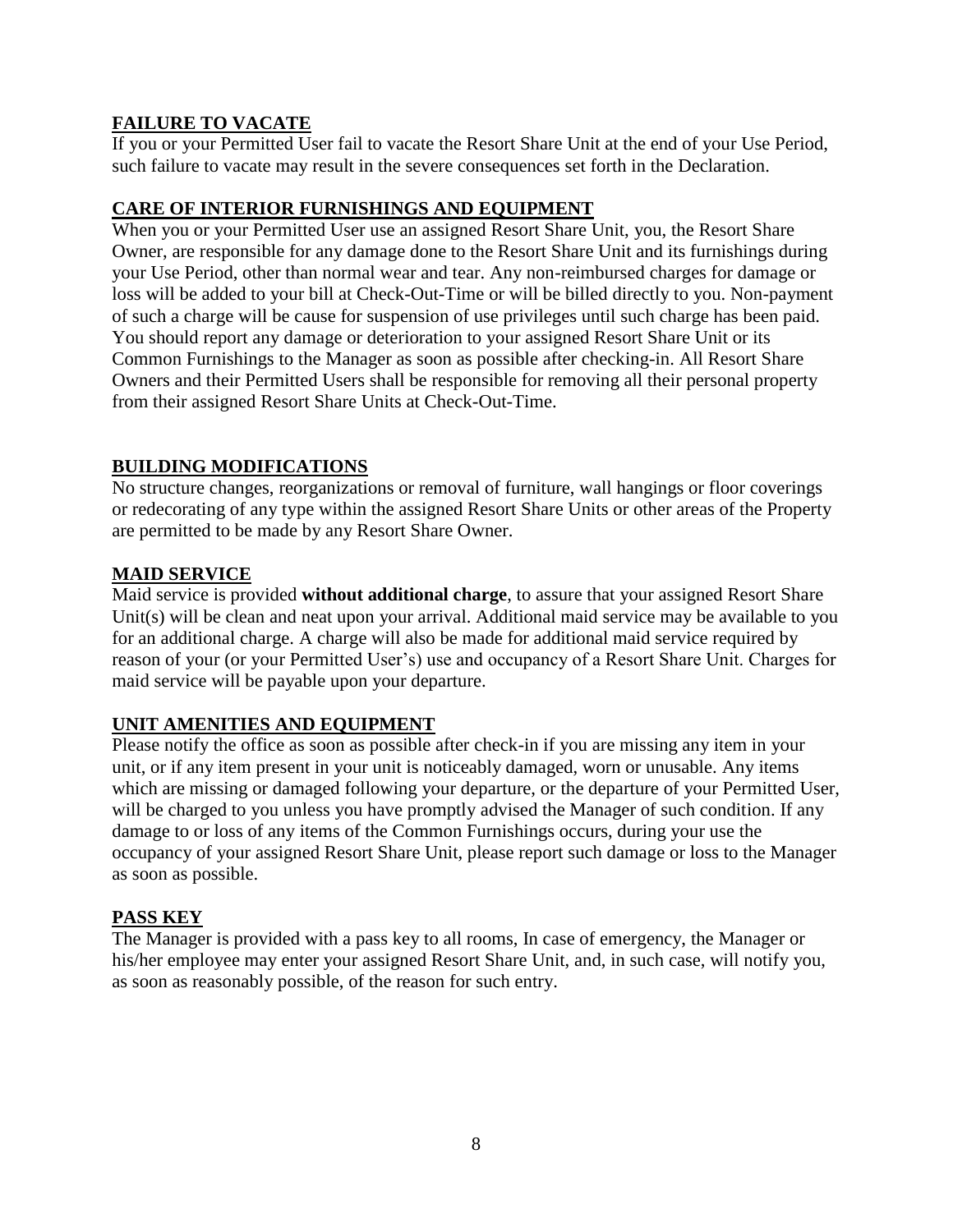# **FAILURE TO VACATE**

If you or your Permitted User fail to vacate the Resort Share Unit at the end of your Use Period, such failure to vacate may result in the severe consequences set forth in the Declaration.

# **CARE OF INTERIOR FURNISHINGS AND EQUIPMENT**

When you or your Permitted User use an assigned Resort Share Unit, you, the Resort Share Owner, are responsible for any damage done to the Resort Share Unit and its furnishings during your Use Period, other than normal wear and tear. Any non-reimbursed charges for damage or loss will be added to your bill at Check-Out-Time or will be billed directly to you. Non-payment of such a charge will be cause for suspension of use privileges until such charge has been paid. You should report any damage or deterioration to your assigned Resort Share Unit or its Common Furnishings to the Manager as soon as possible after checking-in. All Resort Share Owners and their Permitted Users shall be responsible for removing all their personal property from their assigned Resort Share Units at Check-Out-Time.

# **BUILDING MODIFICATIONS**

No structure changes, reorganizations or removal of furniture, wall hangings or floor coverings or redecorating of any type within the assigned Resort Share Units or other areas of the Property are permitted to be made by any Resort Share Owner.

# **MAID SERVICE**

Maid service is provided **without additional charge**, to assure that your assigned Resort Share Unit(s) will be clean and neat upon your arrival. Additional maid service may be available to you for an additional charge. A charge will also be made for additional maid service required by reason of your (or your Permitted User's) use and occupancy of a Resort Share Unit. Charges for maid service will be payable upon your departure.

# **UNIT AMENITIES AND EQUIPMENT**

Please notify the office as soon as possible after check-in if you are missing any item in your unit, or if any item present in your unit is noticeably damaged, worn or unusable. Any items which are missing or damaged following your departure, or the departure of your Permitted User, will be charged to you unless you have promptly advised the Manager of such condition. If any damage to or loss of any items of the Common Furnishings occurs, during your use the occupancy of your assigned Resort Share Unit, please report such damage or loss to the Manager as soon as possible.

# **PASS KEY**

The Manager is provided with a pass key to all rooms, In case of emergency, the Manager or his/her employee may enter your assigned Resort Share Unit, and, in such case, will notify you, as soon as reasonably possible, of the reason for such entry.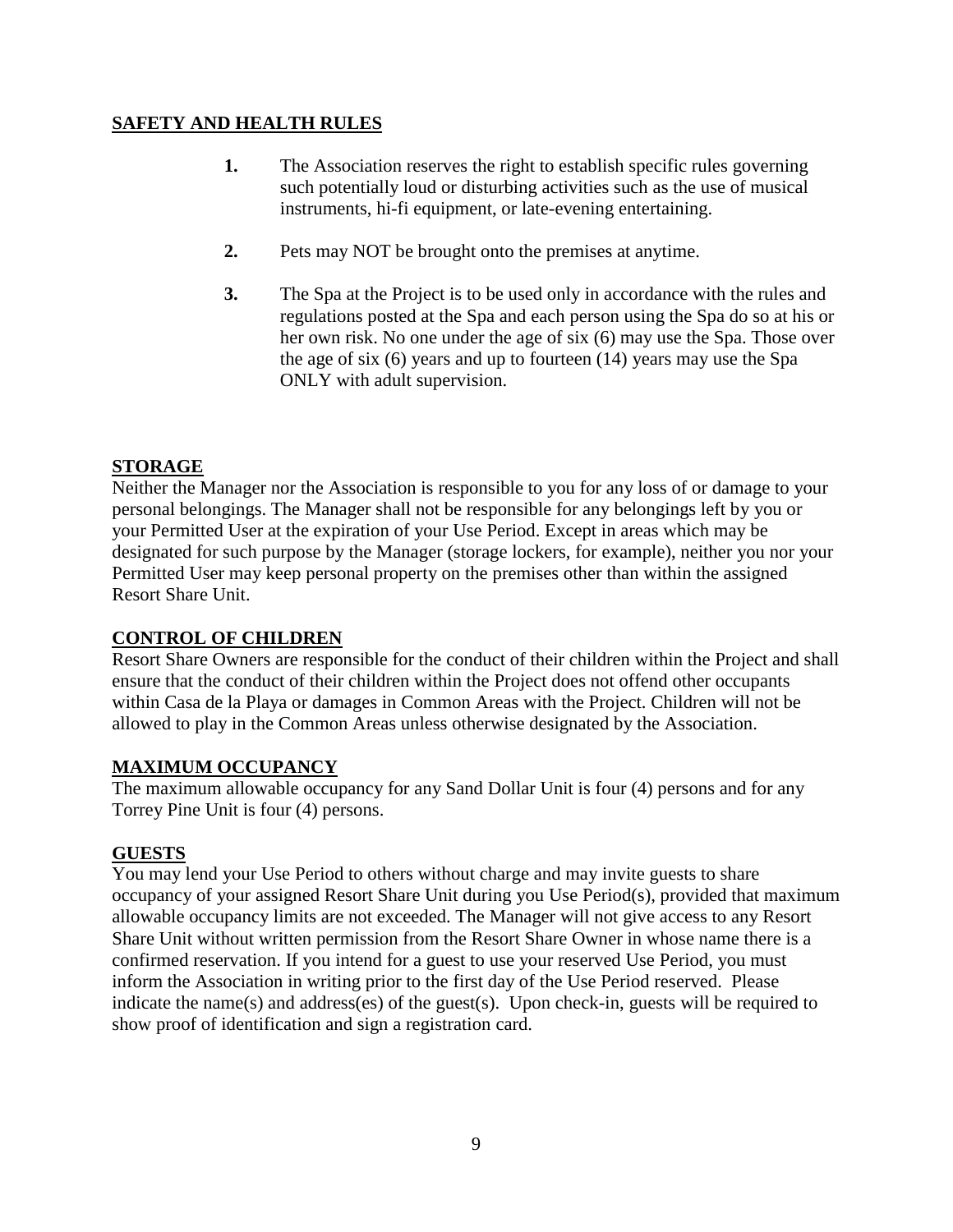# **SAFETY AND HEALTH RULES**

- **1.** The Association reserves the right to establish specific rules governing such potentially loud or disturbing activities such as the use of musical instruments, hi-fi equipment, or late-evening entertaining.
- **2.** Pets may NOT be brought onto the premises at anytime.
- **3.** The Spa at the Project is to be used only in accordance with the rules and regulations posted at the Spa and each person using the Spa do so at his or her own risk. No one under the age of six (6) may use the Spa. Those over the age of six (6) years and up to fourteen (14) years may use the Spa ONLY with adult supervision.

# **STORAGE**

Neither the Manager nor the Association is responsible to you for any loss of or damage to your personal belongings. The Manager shall not be responsible for any belongings left by you or your Permitted User at the expiration of your Use Period. Except in areas which may be designated for such purpose by the Manager (storage lockers, for example), neither you nor your Permitted User may keep personal property on the premises other than within the assigned Resort Share Unit.

# **CONTROL OF CHILDREN**

Resort Share Owners are responsible for the conduct of their children within the Project and shall ensure that the conduct of their children within the Project does not offend other occupants within Casa de la Playa or damages in Common Areas with the Project. Children will not be allowed to play in the Common Areas unless otherwise designated by the Association.

# **MAXIMUM OCCUPANCY**

The maximum allowable occupancy for any Sand Dollar Unit is four (4) persons and for any Torrey Pine Unit is four (4) persons.

# **GUESTS**

You may lend your Use Period to others without charge and may invite guests to share occupancy of your assigned Resort Share Unit during you Use Period(s), provided that maximum allowable occupancy limits are not exceeded. The Manager will not give access to any Resort Share Unit without written permission from the Resort Share Owner in whose name there is a confirmed reservation. If you intend for a guest to use your reserved Use Period, you must inform the Association in writing prior to the first day of the Use Period reserved. Please indicate the name(s) and address(es) of the guest(s). Upon check-in, guests will be required to show proof of identification and sign a registration card.